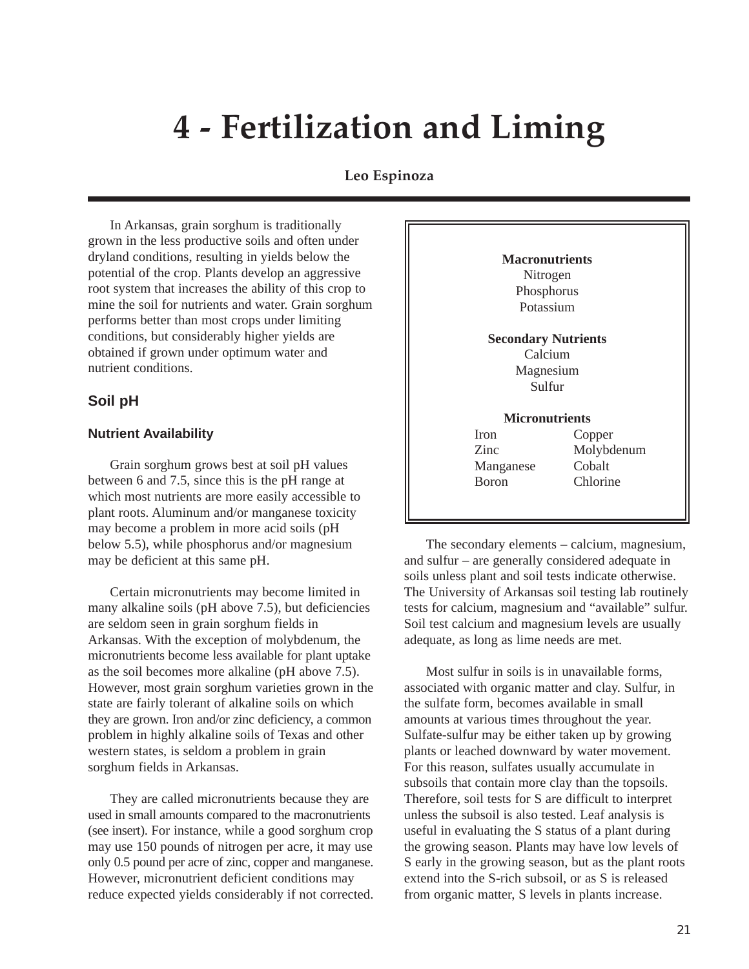# **4 - Fertilization and Liming**

# **Leo Espinoza**

In Arkansas, grain sorghum is traditionally grown in the less productive soils and often under dryland conditions, resulting in yields below the potential of the crop. Plants develop an aggressive root system that increases the ability of this crop to mine the soil for nutrients and water. Grain sorghum performs better than most crops under limiting conditions, but considerably higher yields are obtained if grown under optimum water and nutrient conditions.

#### **Soil pH**

#### **Nutrient Availability**

Grain sorghum grows best at soil pH values between 6 and 7.5, since this is the pH range at which most nutrients are more easily accessible to plant roots. Aluminum and/or manganese toxicity may become a problem in more acid soils (pH below 5.5), while phosphorus and/or magnesium may be deficient at this same pH.

Certain micronutrients may become limited in many alkaline soils (pH above 7.5), but deficiencies are seldom seen in grain sorghum fields in Arkansas. With the exception of molybdenum, the micronutrients become less available for plant uptake as the soil becomes more alkaline (pH above 7.5). However, most grain sorghum varieties grown in the state are fairly tolerant of alkaline soils on which they are grown. Iron and/or zinc deficiency, a common problem in highly alkaline soils of Texas and other western states, is seldom a problem in grain sorghum fields in Arkansas.

They are called micronutrients because they are used in small amounts compared to the macronutrients (see insert). For instance, while a good sorghum crop may use 150 pounds of nitrogen per acre, it may use only 0.5 pound per acre of zinc, copper and manganese. However, micronutrient deficient conditions may reduce expected yields considerably if not corrected.

| <b>Macronutrients</b>      |            |  |  |  |
|----------------------------|------------|--|--|--|
| Nitrogen                   |            |  |  |  |
| Phosphorus                 |            |  |  |  |
| Potassium                  |            |  |  |  |
| <b>Secondary Nutrients</b> |            |  |  |  |
| Calcium                    |            |  |  |  |
| Magnesium                  |            |  |  |  |
|                            | Sulfur     |  |  |  |
| <b>Micronutrients</b>      |            |  |  |  |
| Iron                       | Copper     |  |  |  |
| Zinc                       | Molybdenum |  |  |  |
| Cobalt<br>Manganese        |            |  |  |  |
| Boron                      | Chlorine   |  |  |  |
|                            |            |  |  |  |
|                            |            |  |  |  |

The secondary elements – calcium, magnesium, and sulfur – are generally considered adequate in soils unless plant and soil tests indicate otherwise. The University of Arkansas soil testing lab routinely tests for calcium, magnesium and "available" sulfur. Soil test calcium and magnesium levels are usually adequate, as long as lime needs are met.

Most sulfur in soils is in unavailable forms, associated with organic matter and clay. Sulfur, in the sulfate form, becomes available in small amounts at various times throughout the year. Sulfate-sulfur may be either taken up by growing plants or leached downward by water movement. For this reason, sulfates usually accumulate in subsoils that contain more clay than the topsoils. Therefore, soil tests for S are difficult to interpret unless the subsoil is also tested. Leaf analysis is useful in evaluating the S status of a plant during the growing season. Plants may have low levels of S early in the growing season, but as the plant roots extend into the S-rich subsoil, or as S is released from organic matter, S levels in plants increase.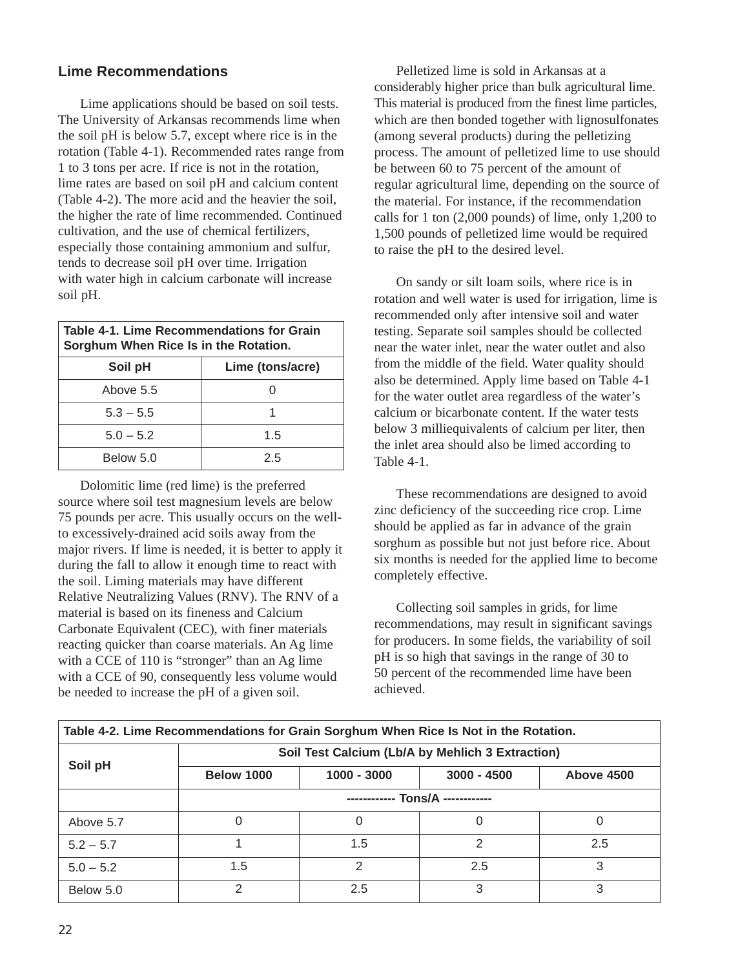# **Lime Recommendations**

Lime applications should be based on soil tests. The University of Arkansas recommends lime when the soil pH is below 5.7, except where rice is in the rotation (Table 4-1). Recommended rates range from 1 to 3 tons per acre. If rice is not in the rotation, lime rates are based on soil pH and calcium content (Table 4-2). The more acid and the heavier the soil, the higher the rate of lime recommended. Continued cultivation, and the use of chemical fertilizers, especially those containing ammonium and sulfur, tends to decrease soil pH over time. Irrigation with water high in calcium carbonate will increase soil pH.

| Table 4-1. Lime Recommendations for Grain<br>Sorghum When Rice Is in the Rotation. |     |  |  |  |  |
|------------------------------------------------------------------------------------|-----|--|--|--|--|
| Lime (tons/acre)<br>Soil pH                                                        |     |  |  |  |  |
| Above 5.5                                                                          |     |  |  |  |  |
| $5.3 - 5.5$                                                                        |     |  |  |  |  |
| $5.0 - 5.2$                                                                        | 1.5 |  |  |  |  |
| Below 5.0<br>25                                                                    |     |  |  |  |  |

Dolomitic lime (red lime) is the preferred source where soil test magnesium levels are below 75 pounds per acre. This usually occurs on the wellto excessively-drained acid soils away from the major rivers. If lime is needed, it is better to apply it during the fall to allow it enough time to react with the soil. Liming materials may have different Relative Neutralizing Values (RNV). The RNV of a material is based on its fineness and Calcium Carbonate Equivalent (CEC), with finer materials reacting quicker than coarse materials. An Ag lime with a CCE of 110 is "stronger" than an Ag lime with a CCE of 90, consequently less volume would be needed to increase the pH of a given soil.

Pelletized lime is sold in Arkansas at a considerably higher price than bulk agricultural lime. This material is produced from the finest lime particles, which are then bonded together with lignosulfonates (among several products) during the pelletizing process. The amount of pelletized lime to use should be between 60 to 75 percent of the amount of regular agricultural lime, depending on the source of the material. For instance, if the recommendation calls for 1 ton (2,000 pounds) of lime, only 1,200 to 1,500 pounds of pelletized lime would be required to raise the pH to the desired level.

On sandy or silt loam soils, where rice is in rotation and well water is used for irrigation, lime is recommended only after intensive soil and water testing. Separate soil samples should be collected near the water inlet, near the water outlet and also from the middle of the field. Water quality should also be determined. Apply lime based on Table 4-1 for the water outlet area regardless of the water's calcium or bicarbonate content. If the water tests below 3 milliequivalents of calcium per liter, then the inlet area should also be limed according to Table 4-1.

These recommendations are designed to avoid zinc deficiency of the succeeding rice crop. Lime should be applied as far in advance of the grain sorghum as possible but not just before rice. About six months is needed for the applied lime to become completely effective.

Collecting soil samples in grids, for lime recommendations, may result in significant savings for producers. In some fields, the variability of soil pH is so high that savings in the range of 30 to 50 percent of the recommended lime have been achieved.

| Table 4-2. Lime Recommendations for Grain Sorghum When Rice Is Not in the Rotation. |                                                  |               |               |            |  |  |  |  |
|-------------------------------------------------------------------------------------|--------------------------------------------------|---------------|---------------|------------|--|--|--|--|
| Soil pH                                                                             | Soil Test Calcium (Lb/A by Mehlich 3 Extraction) |               |               |            |  |  |  |  |
|                                                                                     | <b>Below 1000</b>                                | $1000 - 3000$ | $3000 - 4500$ | Above 4500 |  |  |  |  |
|                                                                                     | ------------ Tons/A ------------                 |               |               |            |  |  |  |  |
| Above 5.7                                                                           | 0                                                |               | 0             |            |  |  |  |  |
| $5.2 - 5.7$                                                                         |                                                  | 1.5           | 2             | 2.5        |  |  |  |  |
| $5.0 - 5.2$                                                                         | 1.5                                              | 2             | 2.5           | 3          |  |  |  |  |
| Below 5.0                                                                           | 2                                                | 2.5           | 3             | 3          |  |  |  |  |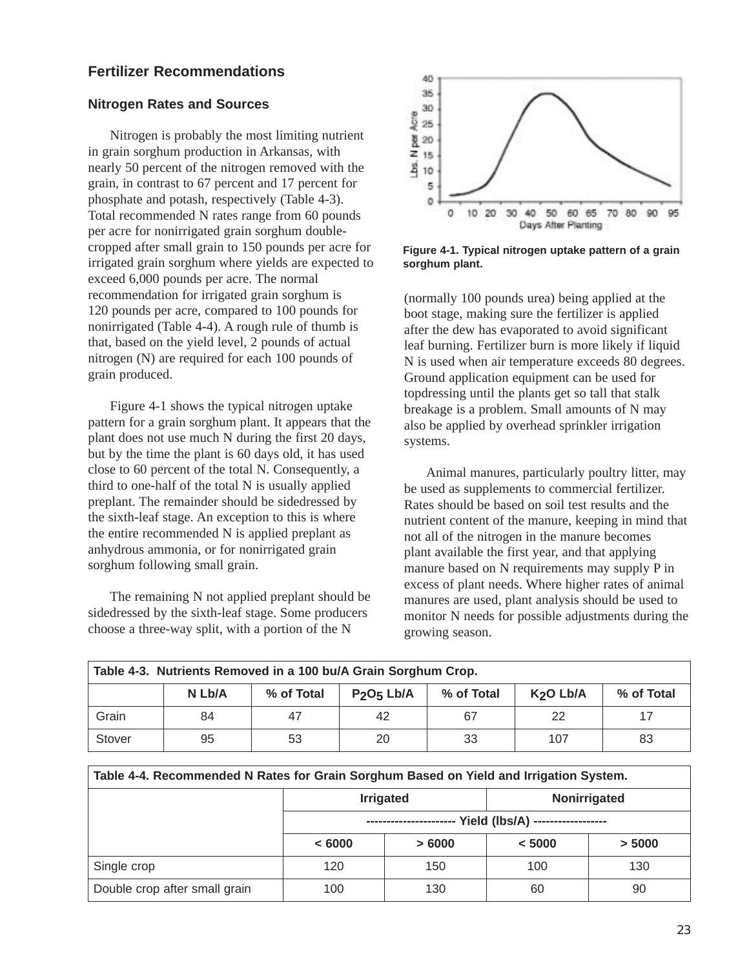## **Fertilizer Recommendations**

#### **Nitrogen Rates and Sources**

Nitrogen is probably the most limiting nutrient in grain sorghum production in Arkansas, with nearly 50 percent of the nitrogen removed with the grain, in contrast to 67 percent and 17 percent for phosphate and potash, respectively (Table 4-3). Total recommended N rates range from 60 pounds per acre for nonirrigated grain sorghum doublecropped after small grain to 150 pounds per acre for irrigated grain sorghum where yields are expected to exceed 6,000 pounds per acre. The normal recommendation for irrigated grain sorghum is 120 pounds per acre, compared to 100 pounds for nonirrigated (Table 4-4). A rough rule of thumb is that, based on the yield level, 2 pounds of actual nitrogen (N) are required for each 100 pounds of grain produced.

Figure 4-1 shows the typical nitrogen uptake pattern for a grain sorghum plant. It appears that the plant does not use much N during the first 20 days, but by the time the plant is 60 days old, it has used close to 60 percent of the total N. Consequently, a third to one-half of the total N is usually applied preplant. The remainder should be sidedressed by the sixth-leaf stage. An exception to this is where the entire recommended N is applied preplant as anhydrous ammonia, or for nonirrigated grain sorghum following small grain.

The remaining N not applied preplant should be sidedressed by the sixth-leaf stage. Some producers choose a three-way split, with a portion of the N



**Figure 4-1. Typical nitrogen uptake pattern of a grain sorghum plant.** 

(normally 100 pounds urea) being applied at the boot stage, making sure the fertilizer is applied after the dew has evaporated to avoid significant leaf burning. Fertilizer burn is more likely if liquid N is used when air temperature exceeds 80 degrees. Ground application equipment can be used for topdressing until the plants get so tall that stalk breakage is a problem. Small amounts of N may also be applied by overhead sprinkler irrigation systems.

Animal manures, particularly poultry litter, may be used as supplements to commercial fertilizer. Rates should be based on soil test results and the nutrient content of the manure, keeping in mind that not all of the nitrogen in the manure becomes plant available the first year, and that applying manure based on N requirements may supply P in excess of plant needs. Where higher rates of animal manures are used, plant analysis should be used to monitor N needs for possible adjustments during the growing season.

| Table 4-3. Nutrients Removed in a 100 bu/A Grain Sorghum Crop. |                                                                                                                 |    |    |    |     |    |  |  |
|----------------------------------------------------------------|-----------------------------------------------------------------------------------------------------------------|----|----|----|-----|----|--|--|
|                                                                | P <sub>2</sub> O <sub>5</sub> Lb/A<br>N Lb/A<br>% of Total<br>% of Total<br>K <sub>2</sub> O Lb/A<br>% of Total |    |    |    |     |    |  |  |
| Grain                                                          | 84                                                                                                              | 47 | 42 | 67 | 22  |    |  |  |
| Stover                                                         | 95                                                                                                              | 53 | 20 | 33 | 107 | 83 |  |  |

|                               |                   | <b>Irrigated</b> | Nonirrigated |        |  |
|-------------------------------|-------------------|------------------|--------------|--------|--|
|                               | ----------------- |                  |              |        |  |
|                               | < 6000            | >6000            | < 5000       | > 5000 |  |
| Single crop                   | 120               | 150              | 100          | 130    |  |
| Double crop after small grain | 100               | 130              | 60           | 90     |  |